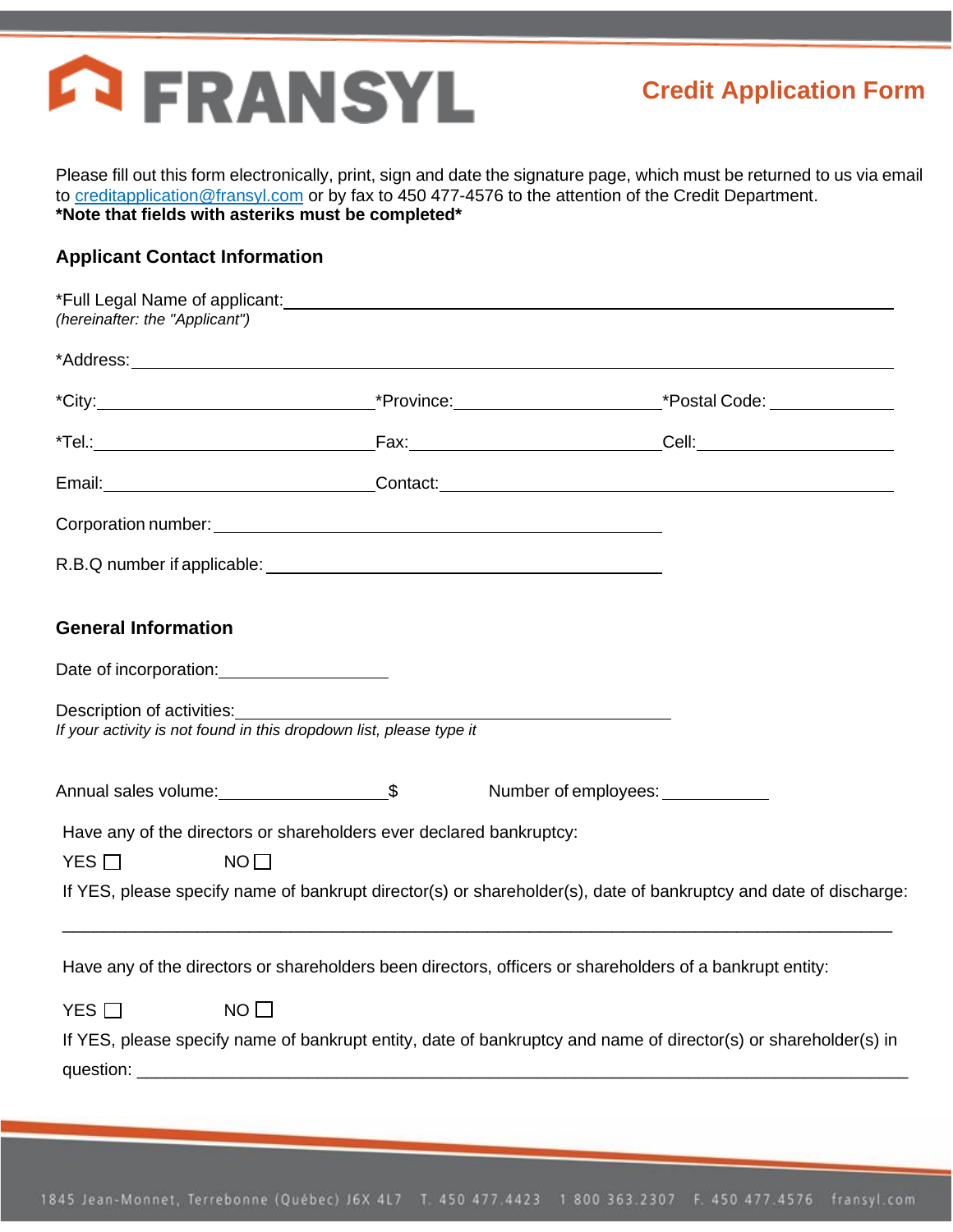

Please fill out this form electronically, print, sign and date the signature page, which must be returned to us via email to creditapplication@fransyl.com or by fax to 450 477-4576 to the attention of the Credit Department. **\*Note that fields with asteriks must be completed\***

### **Applicant Contact Information**

| *Full Legal Name of applicant: Manual According to the Contract of the Contract of the Contract of the Contract of the Contract of the Contract of the Contract of the Contract of the Contract of the Contract of the Contrac<br>(hereinafter: the "Applicant") |                           |                                                                                                                  |
|------------------------------------------------------------------------------------------------------------------------------------------------------------------------------------------------------------------------------------------------------------------|---------------------------|------------------------------------------------------------------------------------------------------------------|
|                                                                                                                                                                                                                                                                  |                           |                                                                                                                  |
|                                                                                                                                                                                                                                                                  |                           |                                                                                                                  |
|                                                                                                                                                                                                                                                                  |                           |                                                                                                                  |
| Email: Contact: Contact: Contact: Contact: Contact: Contact: Contact: Contact: Contact: Contact: Contact: Contact: Contact: Contact: Contact: Contact: Contact: Contact: Contact: Contact: Contact: Contact: Contact: Contact:                                   |                           |                                                                                                                  |
| Corporation number: University of the Corporation number of the Corporation number of the Corporation of the Co                                                                                                                                                  |                           |                                                                                                                  |
|                                                                                                                                                                                                                                                                  |                           |                                                                                                                  |
| <b>General Information</b>                                                                                                                                                                                                                                       |                           |                                                                                                                  |
| Date of incorporation: <u>contained</u>                                                                                                                                                                                                                          |                           |                                                                                                                  |
| Description of activities:<br><u>Description</u> of activities:<br>If your activity is not found in this dropdown list, please type it                                                                                                                           |                           |                                                                                                                  |
|                                                                                                                                                                                                                                                                  | Number of employees: 1997 |                                                                                                                  |
| Have any of the directors or shareholders ever declared bankruptcy:                                                                                                                                                                                              |                           |                                                                                                                  |
| YES $\Box$<br>NO                                                                                                                                                                                                                                                 |                           |                                                                                                                  |
|                                                                                                                                                                                                                                                                  |                           | If YES, please specify name of bankrupt director(s) or shareholder(s), date of bankruptcy and date of discharge: |
| Have any of the directors or shareholders been directors, officers or shareholders of a bankrupt entity:                                                                                                                                                         |                           |                                                                                                                  |
| YES $\Box$<br>$NO$ $\Box$                                                                                                                                                                                                                                        |                           |                                                                                                                  |
|                                                                                                                                                                                                                                                                  |                           | If YES, please specify name of bankrupt entity, date of bankruptcy and name of director(s) or shareholder(s) in  |
|                                                                                                                                                                                                                                                                  |                           |                                                                                                                  |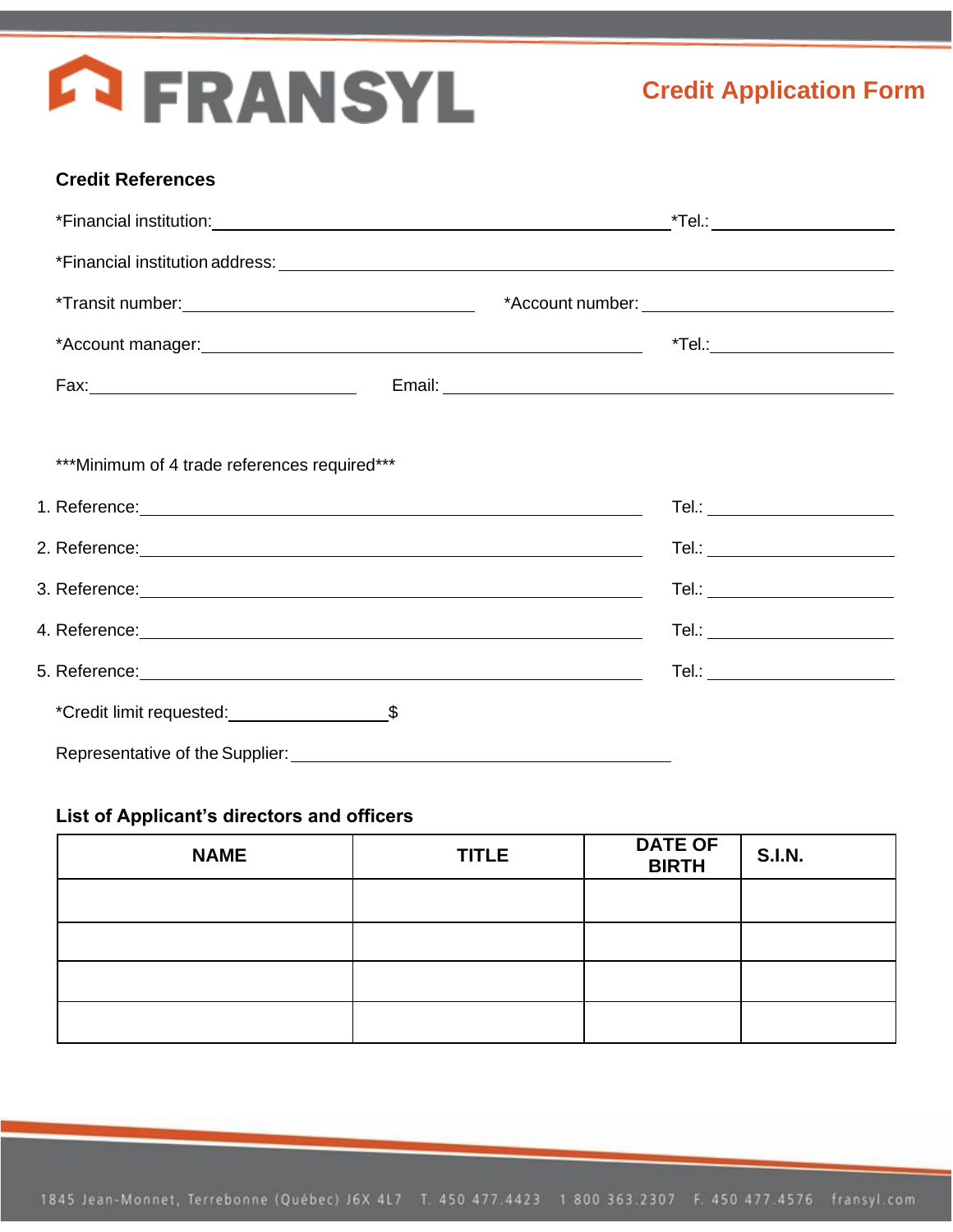# **ERANSYL**

### **Credit References**

| *** Minimum of 4 trade references required***                                                                                                                                                                                        |  |                                |  |
|--------------------------------------------------------------------------------------------------------------------------------------------------------------------------------------------------------------------------------------|--|--------------------------------|--|
| 1. Reference: <u>experimental and the set of the set of the set of the set of the set of the set of the set of the set of the set of the set of the set of the set of the set of the set of the set of the set of the set of the</u> |  |                                |  |
|                                                                                                                                                                                                                                      |  |                                |  |
|                                                                                                                                                                                                                                      |  | Tel.: ________________________ |  |
| 4. Reference: <u>Andrea Barbara and Charles and Charles and Charles and Charles and Charles and Charles and Charles and Charles and Charles and Charles and Charles and Charles and Charles and Charles and Charles and Charles </u> |  | Tel.: ________________________ |  |
|                                                                                                                                                                                                                                      |  | Tel.: ________________________ |  |
|                                                                                                                                                                                                                                      |  |                                |  |
| Representative of the Supplier:                                                                                                                                                                                                      |  |                                |  |

## **List of Applicant's directors and officers**

| <b>NAME</b> | <b>TITLE</b> | <b>DATE OF</b><br><b>BIRTH</b> | <b>S.I.N.</b> |
|-------------|--------------|--------------------------------|---------------|
|             |              |                                |               |
|             |              |                                |               |
|             |              |                                |               |
|             |              |                                |               |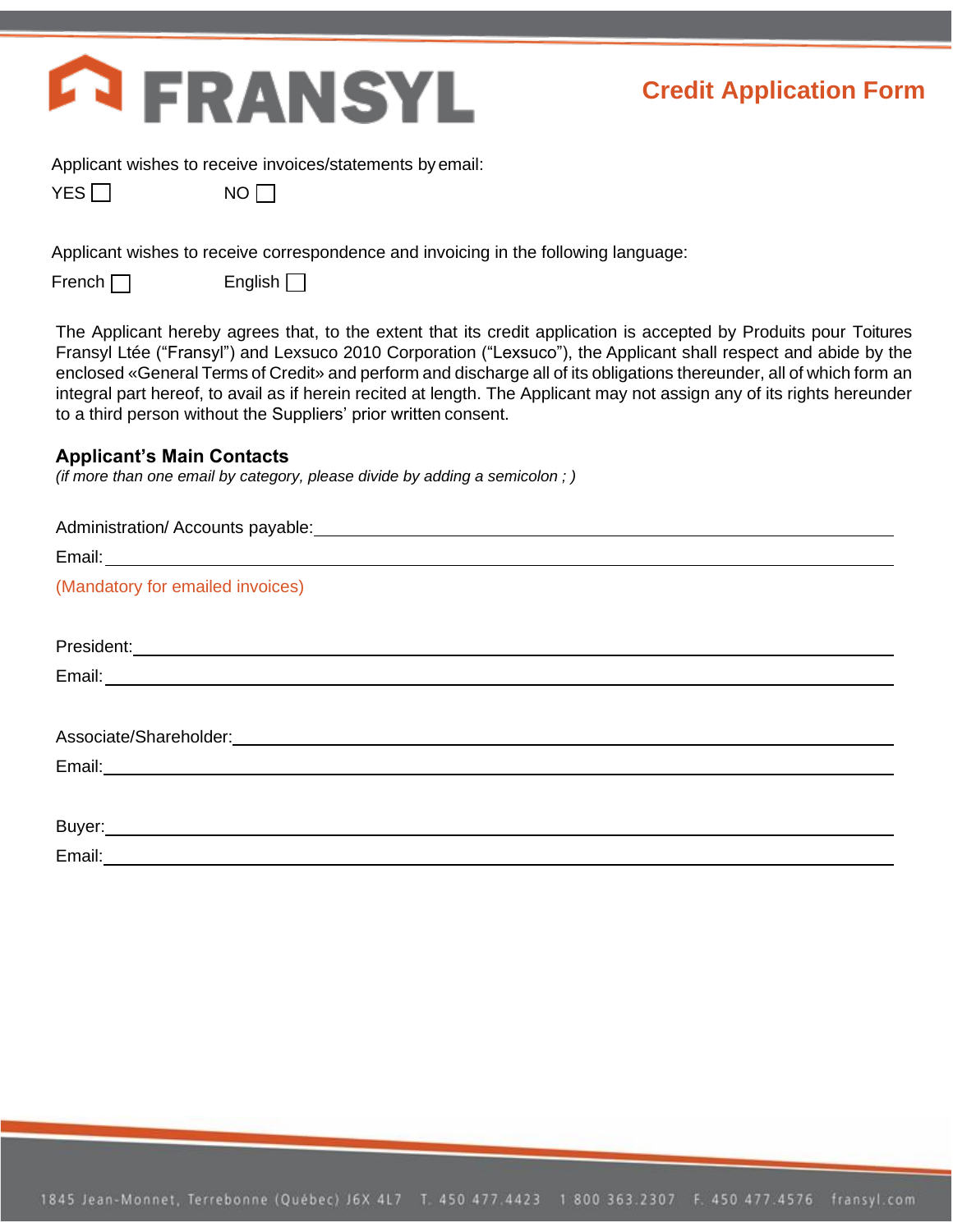

Applicant wishes to receive invoices/statements byemail:

|--|--|

 $NO$  $\Box$ 

Applicant wishes to receive correspondence and invoicing in the following language:

 $French \ \ \ \ \ \ \ \$  English  $\ \ \ \ \ \ \ \ \ \$ 

The Applicant hereby agrees that, to the extent that its credit application is accepted by Produits pour Toitures Fransyl Ltée ("Fransyl") and Lexsuco 2010 Corporation ("Lexsuco"), the Applicant shall respect and abide by the enclosed «General Terms of Credit» and perform and discharge all of its obligations thereunder, all of which form an integral part hereof, to avail as if herein recited at length. The Applicant may not assign any of its rights hereunder to a third person without the Suppliers' prior written consent.

### **Applicant's Main Contacts**

*(if more than one email by category, please divide by adding a semicolon ; )*

| (Mandatory for emailed invoices) |
|----------------------------------|
|                                  |
|                                  |
|                                  |
|                                  |
|                                  |
|                                  |
|                                  |
|                                  |
| Email:______________________     |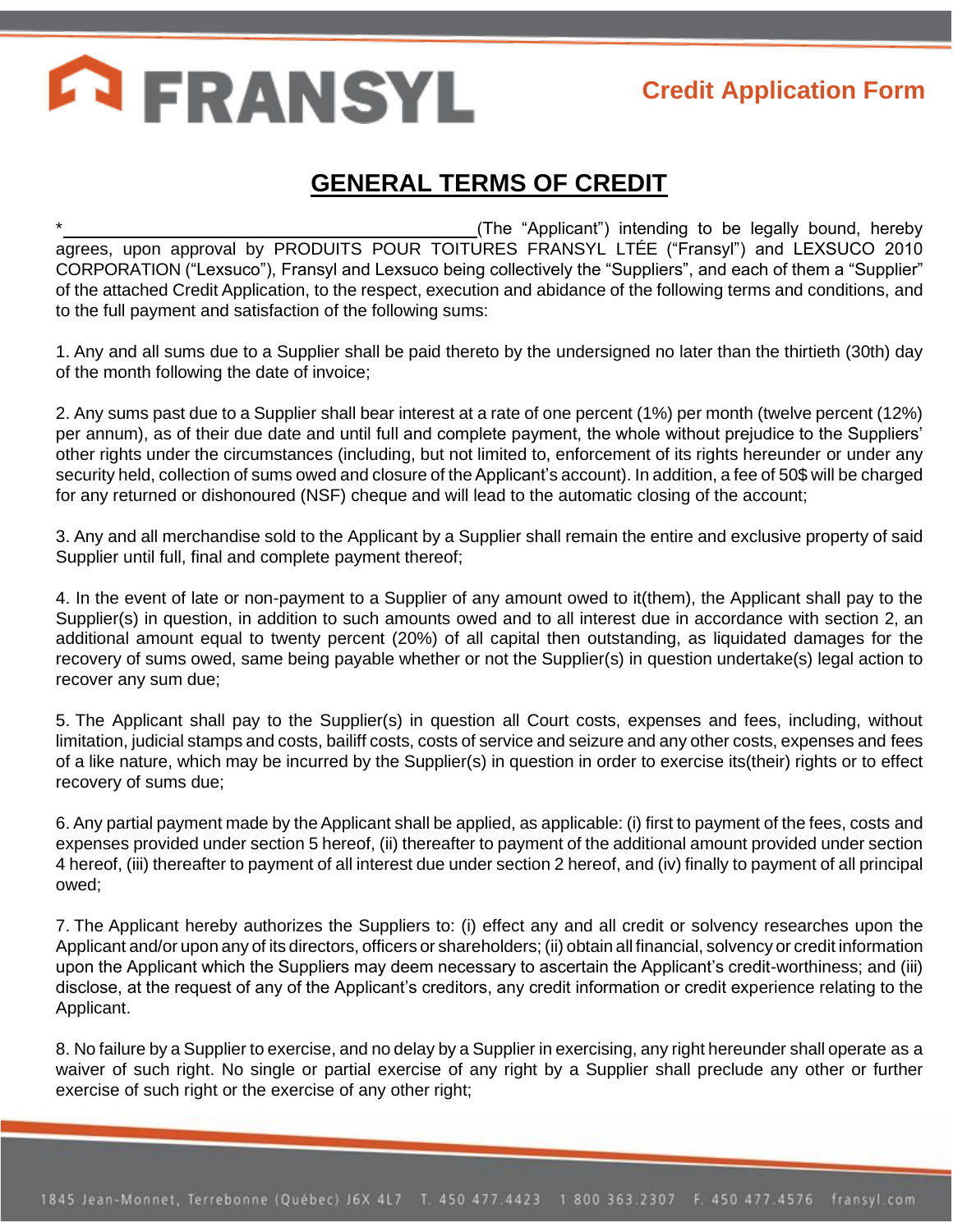## **ERANSYL**

## **Credit Application Form**

## **GENERAL TERMS OF CREDIT**

(The "Applicant") intending to be legally bound, hereby agrees, upon approval by PRODUITS POUR TOITURES FRANSYL LTÉE ("Fransyl") and LEXSUCO 2010 CORPORATION ("Lexsuco"), Fransyl and Lexsuco being collectively the "Suppliers", and each of them a "Supplier" of the attached Credit Application, to the respect, execution and abidance of the following terms and conditions, and to the full payment and satisfaction of the following sums:

1. Any and all sums due to a Supplier shall be paid thereto by the undersigned no later than the thirtieth (30th) day of the month following the date of invoice;

2. Any sums past due to a Supplier shall bear interest at a rate of one percent (1%) per month (twelve percent (12%) per annum), as of their due date and until full and complete payment, the whole without prejudice to the Suppliers' other rights under the circumstances (including, but not limited to, enforcement of its rights hereunder or under any security held, collection of sums owed and closure of the Applicant's account). In addition, a fee of 50\$ will be charged for any returned or dishonoured (NSF) cheque and will lead to the automatic closing of the account;

3. Any and all merchandise sold to the Applicant by a Supplier shall remain the entire and exclusive property of said Supplier until full, final and complete payment thereof;

4. In the event of late or non-payment to a Supplier of any amount owed to it(them), the Applicant shall pay to the Supplier(s) in question, in addition to such amounts owed and to all interest due in accordance with section 2, an additional amount equal to twenty percent (20%) of all capital then outstanding, as liquidated damages for the recovery of sums owed, same being payable whether or not the Supplier(s) in question undertake(s) legal action to recover any sum due;

5. The Applicant shall pay to the Supplier(s) in question all Court costs, expenses and fees, including, without limitation, judicial stamps and costs, bailiff costs, costs of service and seizure and any other costs, expenses and fees of a like nature, which may be incurred by the Supplier(s) in question in order to exercise its(their) rights or to effect recovery of sums due;

6. Any partial payment made by theApplicant shall be applied, as applicable: (i) first to payment of the fees, costs and expenses provided under section 5 hereof, (ii) thereafter to payment of the additional amount provided under section 4 hereof, (iii) thereafter to payment of all interest due under section 2 hereof, and (iv) finally to payment of all principal owed;

7. The Applicant hereby authorizes the Suppliers to: (i) effect any and all credit or solvency researches upon the Applicant and/or upon any of its directors, officers or shareholders; (ii) obtain all financial, solvency or credit information upon the Applicant which the Suppliers may deem necessary to ascertain the Applicant's credit-worthiness; and (iii) disclose, at the request of any of the Applicant's creditors, any credit information or credit experience relating to the Applicant.

8. No failure by a Supplier to exercise, and no delay by a Supplier in exercising, any right hereunder shall operate as a waiver of such right. No single or partial exercise of any right by a Supplier shall preclude any other or further exercise of such right or the exercise of any other right;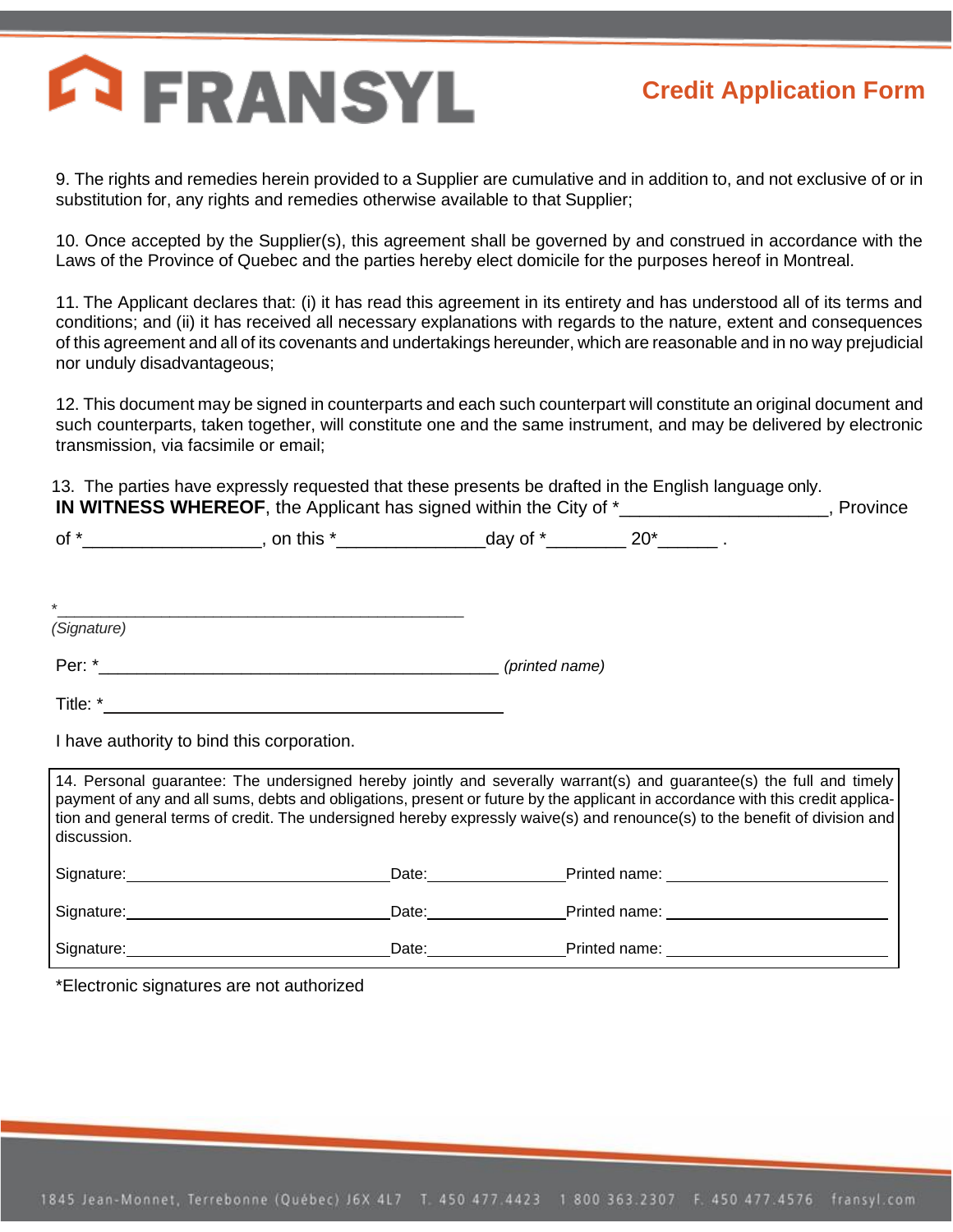## **ERANSYL**

## **Credit Application Form**

9. The rights and remedies herein provided to a Supplier are cumulative and in addition to, and not exclusive of or in substitution for, any rights and remedies otherwise available to that Supplier;

10. Once accepted by the Supplier(s), this agreement shall be governed by and construed in accordance with the Laws of the Province of Quebec and the parties hereby elect domicile for the purposes hereof in Montreal.

11. The Applicant declares that: (i) it has read this agreement in its entirety and has understood all of its terms and conditions; and (ii) it has received all necessary explanations with regards to the nature, extent and consequences of this agreement and all of its covenants and undertakings hereunder, which are reasonable and in no way prejudicial nor unduly disadvantageous;

12. This document may be signed in counterparts and each such counterpart will constitute an original document and such counterparts, taken together, will constitute one and the same instrument, and may be delivered by electronic transmission, via facsimile or email;

13. The parties have expressly requested that these presents be drafted in the English language only. **IN WITNESS WHEREOF**, the Applicant has signed within the City of \* The Second Left Province

of \*\_\_\_\_\_\_\_\_\_\_\_\_\_\_\_\_\_\_, on this \*\_\_\_\_\_\_\_\_\_\_\_\_\_\_\_day of \*\_\_\_\_\_\_\_\_ 20\*\_\_\_\_\_\_ .

\*\_\_\_\_\_\_\_\_\_\_\_\_\_\_\_\_\_\_\_\_\_\_\_\_\_\_\_\_\_\_\_\_\_\_\_\_\_\_\_\_\_\_\_\_\_\_\_ *(Signature)*

Per: \*\_\_\_\_\_\_\_\_\_\_\_\_\_\_\_\_\_\_\_\_\_\_\_\_\_\_\_\_\_\_\_\_\_\_\_\_\_\_\_\_\_\_ *(printed name)*

Title: \*

I have authority to bind this corporation.

14. Personal guarantee: The undersigned hereby jointly and severally warrant(s) and guarantee(s) the full and timely payment of any and all sums, debts and obligations, present or future by the applicant in accordance with this credit application and general terms of credit. The undersigned hereby expressly waive(s) and renounce(s) to the benefit of division and discussion.

| Signature: | Date: | Printed name: |
|------------|-------|---------------|
| Signature: | Date: | Printed name: |
| Signature: | Date: | Printed name: |

\*Electronic signatures are not authorized